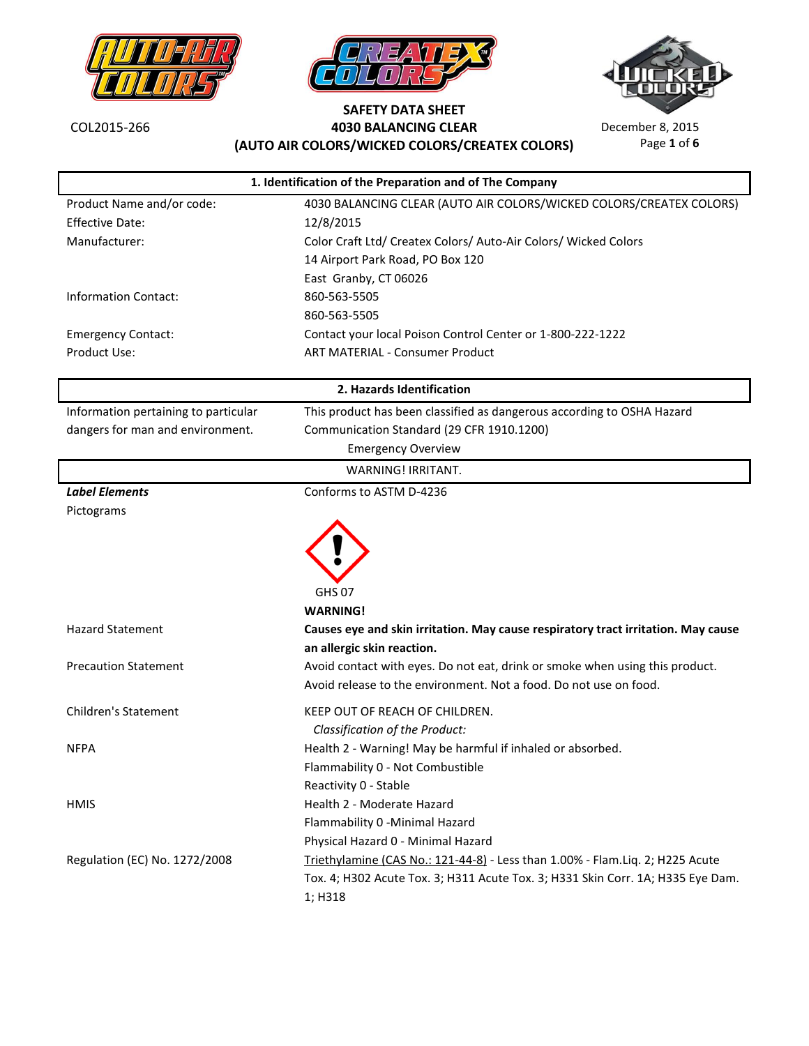





ï

Page **1** of **6**

| 1. Identification of the Preparation and of The Company |                                                                                                                                                   |
|---------------------------------------------------------|---------------------------------------------------------------------------------------------------------------------------------------------------|
| Product Name and/or code:                               | 4030 BALANCING CLEAR (AUTO AIR COLORS/WICKED COLORS/CREATEX COLORS)                                                                               |
| <b>Effective Date:</b>                                  | 12/8/2015                                                                                                                                         |
| Manufacturer:                                           | Color Craft Ltd/ Createx Colors/ Auto-Air Colors/ Wicked Colors                                                                                   |
|                                                         | 14 Airport Park Road, PO Box 120                                                                                                                  |
|                                                         | East Granby, CT 06026                                                                                                                             |
| <b>Information Contact:</b>                             | 860-563-5505                                                                                                                                      |
|                                                         | 860-563-5505                                                                                                                                      |
| <b>Emergency Contact:</b>                               | Contact your local Poison Control Center or 1-800-222-1222                                                                                        |
| Product Use:                                            | <b>ART MATERIAL - Consumer Product</b>                                                                                                            |
|                                                         | 2. Hazards Identification                                                                                                                         |
| Information pertaining to particular                    | This product has been classified as dangerous according to OSHA Hazard                                                                            |
| dangers for man and environment.                        | Communication Standard (29 CFR 1910.1200)                                                                                                         |
|                                                         | <b>Emergency Overview</b>                                                                                                                         |
|                                                         | WARNING! IRRITANT.                                                                                                                                |
| <b>Label Elements</b>                                   | Conforms to ASTM D-4236                                                                                                                           |
| Pictograms                                              |                                                                                                                                                   |
|                                                         | <b>GHS 07</b><br><b>WARNING!</b>                                                                                                                  |
| <b>Hazard Statement</b>                                 | Causes eye and skin irritation. May cause respiratory tract irritation. May cause<br>an allergic skin reaction.                                   |
| <b>Precaution Statement</b>                             | Avoid contact with eyes. Do not eat, drink or smoke when using this product.<br>Avoid release to the environment. Not a food. Do not use on food. |
| <b>Children's Statement</b>                             | KEEP OUT OF REACH OF CHILDREN.<br>Classification of the Product:                                                                                  |
| <b>NFPA</b>                                             | Health 2 - Warning! May be harmful if inhaled or absorbed.                                                                                        |
|                                                         | Flammability 0 - Not Combustible                                                                                                                  |
|                                                         | Reactivity 0 - Stable                                                                                                                             |
| <b>HMIS</b>                                             | Health 2 - Moderate Hazard                                                                                                                        |
|                                                         | Flammability 0 - Minimal Hazard                                                                                                                   |
|                                                         | Physical Hazard 0 - Minimal Hazard                                                                                                                |
| Regulation (EC) No. 1272/2008                           | Triethylamine (CAS No.: 121-44-8) - Less than 1.00% - Flam.Liq. 2; H225 Acute                                                                     |
|                                                         | Tox. 4; H302 Acute Tox. 3; H311 Acute Tox. 3; H331 Skin Corr. 1A; H335 Eye Dam.                                                                   |
|                                                         | 1; H318                                                                                                                                           |
|                                                         |                                                                                                                                                   |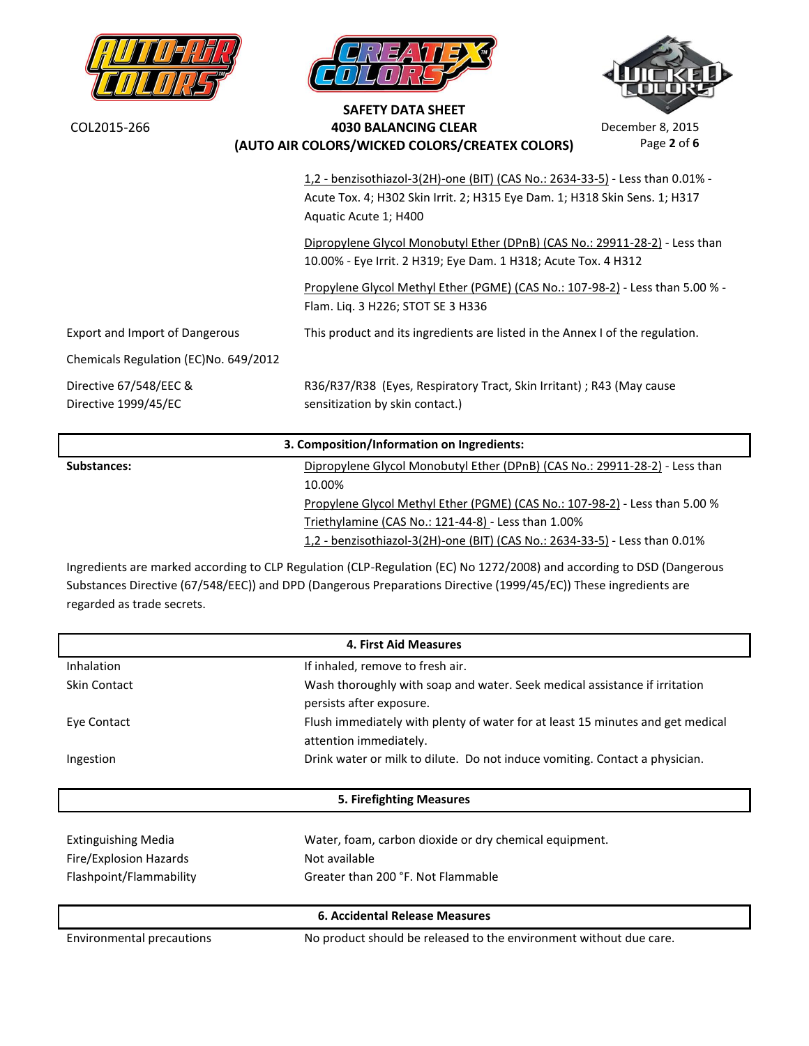



**SAFETY DATA SHEET**



**4030 BALANCING CLEAR** December 8, 2015 Page **2** of **6**

| (AUTO AIR COLORS/WICKED COLORS/CREATEX COLORS) |                                                                                                                                                                                      | Page 2 of 6 |
|------------------------------------------------|--------------------------------------------------------------------------------------------------------------------------------------------------------------------------------------|-------------|
|                                                | 1,2 - benzisothiazol-3(2H)-one (BIT) (CAS No.: 2634-33-5) - Less than 0.01% -<br>Acute Tox. 4; H302 Skin Irrit. 2; H315 Eye Dam. 1; H318 Skin Sens. 1; H317<br>Aquatic Acute 1; H400 |             |
|                                                | Dipropylene Glycol Monobutyl Ether (DPnB) (CAS No.: 29911-28-2) - Less than<br>10.00% - Eye Irrit. 2 H319; Eye Dam. 1 H318; Acute Tox. 4 H312                                        |             |
|                                                | Propylene Glycol Methyl Ether (PGME) (CAS No.: 107-98-2) - Less than 5.00 % -<br>Flam. Liq. 3 H226; STOT SE 3 H336                                                                   |             |
| Export and Import of Dangerous                 | This product and its ingredients are listed in the Annex I of the regulation.                                                                                                        |             |
| Chemicals Regulation (EC)No. 649/2012          |                                                                                                                                                                                      |             |
| Directive 67/548/EEC &<br>Directive 1999/45/EC | R36/R37/R38 (Eyes, Respiratory Tract, Skin Irritant) ; R43 (May cause<br>sensitization by skin contact.)                                                                             |             |
|                                                | 3. Composition/Information on Ingredients:                                                                                                                                           |             |
| Substances:                                    | Dipropylene Glycol Monobutyl Ether (DPnB) (CAS No.: 29911-28-2) - Less than<br>10.00%<br>Propylene Glycol Methyl Ether (PGME) (CAS No.: 107-98-2) - Less than 5.00 %                 |             |

Triethylamine (CAS No.: 121-44-8) - Less than 1.00% 1,2 - benzisothiazol-3(2H)-one (BIT) (CAS No.: 2634-33-5) - Less than 0.01%

Ingredients are marked according to CLP Regulation (CLP-Regulation (EC) No 1272/2008) and according to DSD (Dangerous Substances Directive (67/548/EEC)) and DPD (Dangerous Preparations Directive (1999/45/EC)) These ingredients are regarded as trade secrets.

| <b>4. First Aid Measures</b> |                                                                                                          |  |
|------------------------------|----------------------------------------------------------------------------------------------------------|--|
| Inhalation                   | If inhaled, remove to fresh air.                                                                         |  |
| <b>Skin Contact</b>          | Wash thoroughly with soap and water. Seek medical assistance if irritation<br>persists after exposure.   |  |
| Eye Contact                  | Flush immediately with plenty of water for at least 15 minutes and get medical<br>attention immediately. |  |
| Ingestion                    | Drink water or milk to dilute. Do not induce vomiting. Contact a physician.                              |  |
| 5. Firefighting Measures     |                                                                                                          |  |
|                              |                                                                                                          |  |
|                              |                                                                                                          |  |
| Extinguishing Media          | Water, foam, carbon dioxide or dry chemical equipment.                                                   |  |
| Fire/Explosion Hazards       | Not available                                                                                            |  |
| Flashpoint/Flammability      | Greater than 200 °F. Not Flammable                                                                       |  |
|                              | <b>6. Accidental Release Measures</b>                                                                    |  |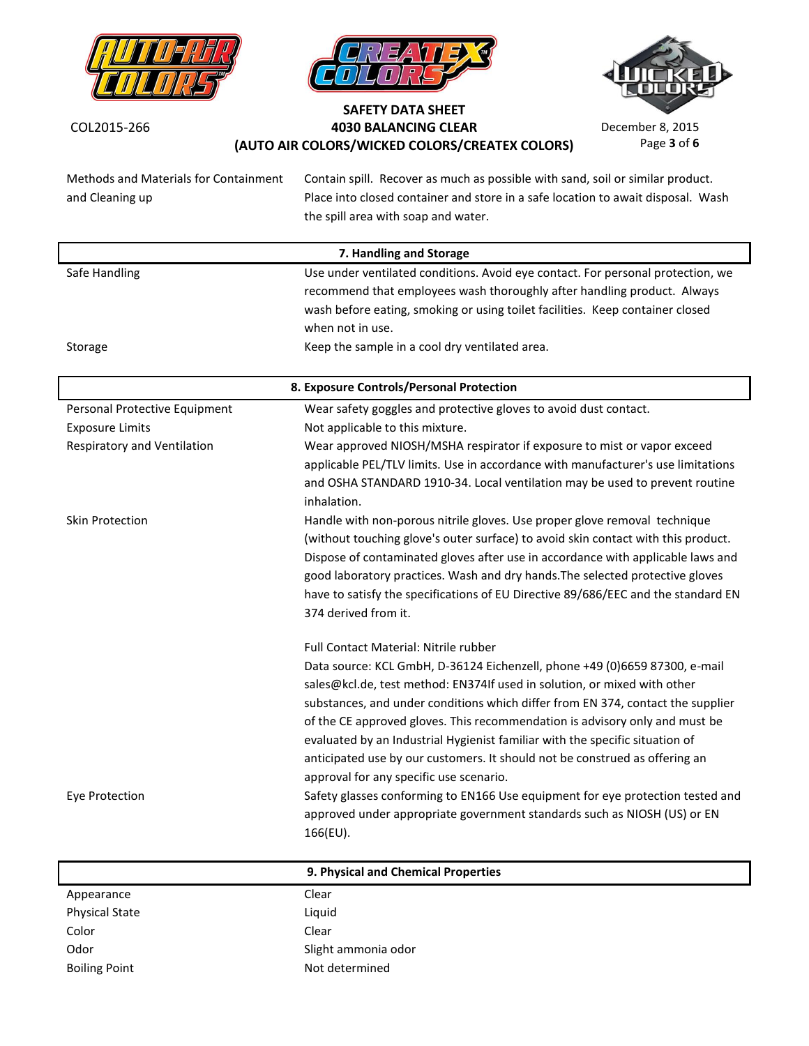





Page **3** of **6**

| Methods and Materials for Containment | Contain spill. Recover as much as possible with sand, soil or similar product.                                            |
|---------------------------------------|---------------------------------------------------------------------------------------------------------------------------|
| and Cleaning up                       | Place into closed container and store in a safe location to await disposal. Wash                                          |
|                                       | the spill area with soap and water.                                                                                       |
|                                       | 7. Handling and Storage                                                                                                   |
| Safe Handling                         | Use under ventilated conditions. Avoid eye contact. For personal protection, we                                           |
|                                       | recommend that employees wash thoroughly after handling product. Always                                                   |
|                                       | wash before eating, smoking or using toilet facilities. Keep container closed                                             |
|                                       | when not in use.                                                                                                          |
| Storage                               | Keep the sample in a cool dry ventilated area.                                                                            |
|                                       | 8. Exposure Controls/Personal Protection                                                                                  |
| Personal Protective Equipment         | Wear safety goggles and protective gloves to avoid dust contact.                                                          |
| <b>Exposure Limits</b>                | Not applicable to this mixture.                                                                                           |
| Respiratory and Ventilation           | Wear approved NIOSH/MSHA respirator if exposure to mist or vapor exceed                                                   |
|                                       | applicable PEL/TLV limits. Use in accordance with manufacturer's use limitations                                          |
|                                       | and OSHA STANDARD 1910-34. Local ventilation may be used to prevent routine                                               |
| Skin Protection                       | inhalation.<br>Handle with non-porous nitrile gloves. Use proper glove removal technique                                  |
|                                       | (without touching glove's outer surface) to avoid skin contact with this product.                                         |
|                                       | Dispose of contaminated gloves after use in accordance with applicable laws and                                           |
|                                       | good laboratory practices. Wash and dry hands. The selected protective gloves                                             |
|                                       | have to satisfy the specifications of EU Directive 89/686/EEC and the standard EN                                         |
|                                       | 374 derived from it.                                                                                                      |
|                                       | Full Contact Material: Nitrile rubber                                                                                     |
|                                       | Data source: KCL GmbH, D-36124 Eichenzell, phone +49 (0)6659 87300, e-mail                                                |
|                                       | sales@kcl.de, test method: EN374If used in solution, or mixed with other                                                  |
|                                       | substances, and under conditions which differ from EN 374, contact the supplier                                           |
|                                       | of the CE approved gloves. This recommendation is advisory only and must be                                               |
|                                       | evaluated by an Industrial Hygienist familiar with the specific situation of                                              |
|                                       | anticipated use by our customers. It should not be construed as offering an                                               |
| Eye Protection                        | approval for any specific use scenario.<br>Safety glasses conforming to EN166 Use equipment for eye protection tested and |
|                                       | approved under appropriate government standards such as NIOSH (US) or EN                                                  |
|                                       | 166(EU).                                                                                                                  |
|                                       |                                                                                                                           |
|                                       | 9. Physical and Chemical Properties                                                                                       |
| Appearance                            | Clear                                                                                                                     |
| <b>Physical State</b>                 | Liquid                                                                                                                    |
| Color<br>Odor                         | Clear<br>Slight ammonia odor                                                                                              |
| <b>Boiling Point</b>                  | Not determined                                                                                                            |
|                                       |                                                                                                                           |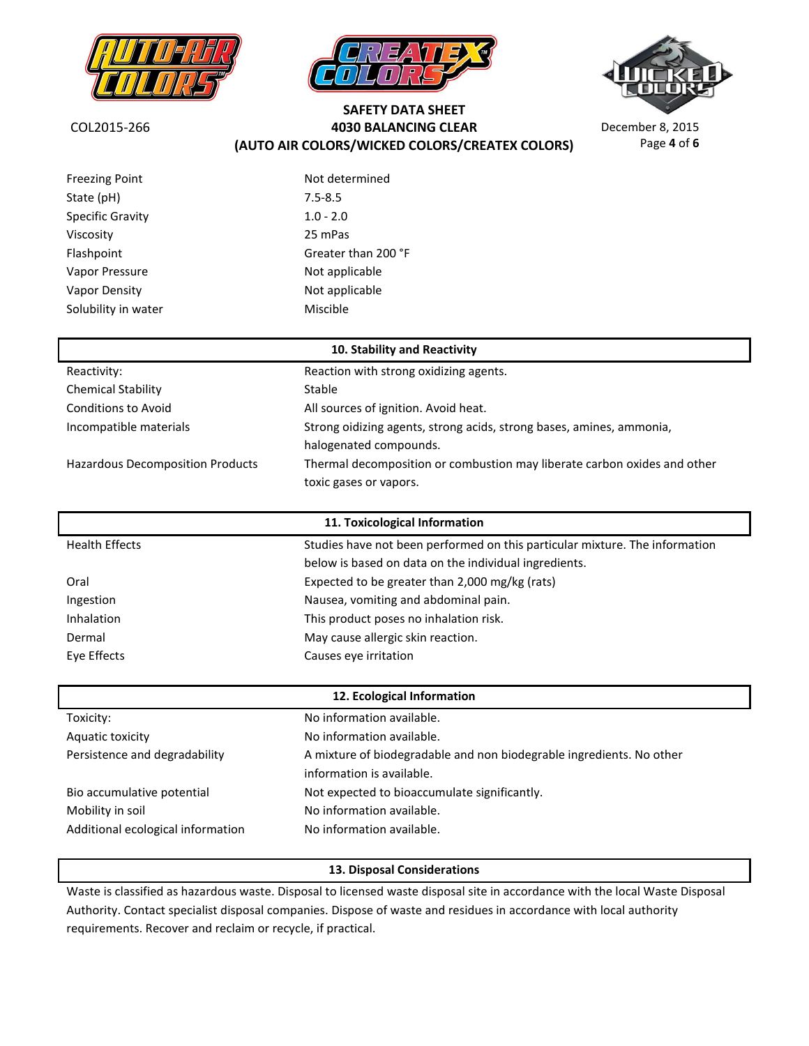





Page **4** of **6**

**SAFETY DATA SHEET 4030 BALANCING CLEAR** December 8, 2015 **(AUTO AIR COLORS/WICKED COLORS/CREATEX COLORS)**

| <b>Freezing Point</b>   | Not determined                 |
|-------------------------|--------------------------------|
| State (pH)              | $7.5 - 8.5$                    |
| <b>Specific Gravity</b> | $1.0 - 2.0$                    |
| Viscosity               | 25 mPas                        |
| Flashpoint              | Greater than 200 °F            |
| Vapor Pressure          | Not applicable                 |
| Vapor Density           | Not applicable                 |
| Solubility in water     | Miscible                       |
|                         |                                |
|                         | 40. Chalaitheanad Danashiritas |

|                                         | <b>ID. SLADINLY AND REACHVILY</b>                                        |
|-----------------------------------------|--------------------------------------------------------------------------|
| Reactivity:                             | Reaction with strong oxidizing agents.                                   |
| <b>Chemical Stability</b>               | <b>Stable</b>                                                            |
| <b>Conditions to Avoid</b>              | All sources of ignition. Avoid heat.                                     |
| Incompatible materials                  | Strong oidizing agents, strong acids, strong bases, amines, ammonia,     |
|                                         | halogenated compounds.                                                   |
| <b>Hazardous Decomposition Products</b> | Thermal decomposition or combustion may liberate carbon oxides and other |
|                                         | toxic gases or vapors.                                                   |

| 11. Toxicological Information |                                                                             |
|-------------------------------|-----------------------------------------------------------------------------|
| <b>Health Effects</b>         | Studies have not been performed on this particular mixture. The information |
|                               | below is based on data on the individual ingredients.                       |
| Oral                          | Expected to be greater than 2,000 mg/kg (rats)                              |
| Ingestion                     | Nausea, vomiting and abdominal pain.                                        |
| <b>Inhalation</b>             | This product poses no inhalation risk.                                      |
| Dermal                        | May cause allergic skin reaction.                                           |
| Eve Effects                   | Causes eye irritation                                                       |

| 12. Ecological Information        |                                                                      |
|-----------------------------------|----------------------------------------------------------------------|
| Toxicity:                         | No information available.                                            |
| Aquatic toxicity                  | No information available.                                            |
| Persistence and degradability     | A mixture of biodegradable and non biodegrable ingredients. No other |
|                                   | information is available.                                            |
| Bio accumulative potential        | Not expected to bioaccumulate significantly.                         |
| Mobility in soil                  | No information available.                                            |
| Additional ecological information | No information available.                                            |

#### **13. Disposal Considerations**

Waste is classified as hazardous waste. Disposal to licensed waste disposal site in accordance with the local Waste Disposal Authority. Contact specialist disposal companies. Dispose of waste and residues in accordance with local authority requirements. Recover and reclaim or recycle, if practical.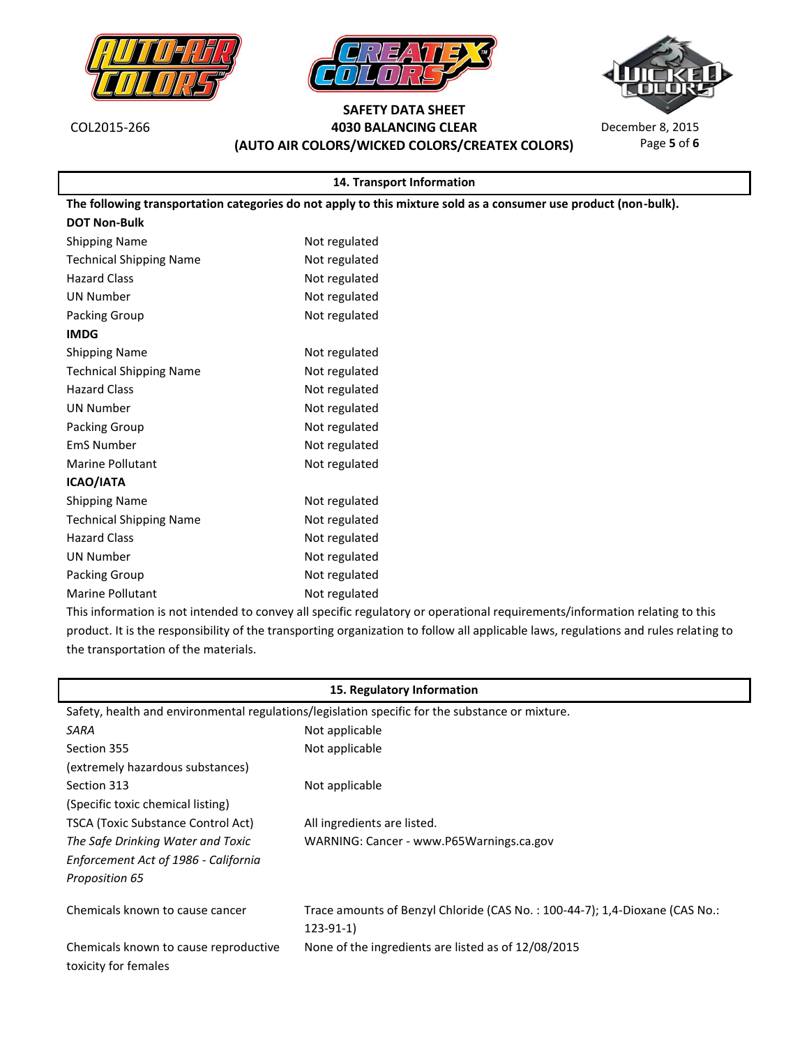







Page **5** of **6**

| 14. Transport Information                                                                                       |                                                                                                                                     |  |
|-----------------------------------------------------------------------------------------------------------------|-------------------------------------------------------------------------------------------------------------------------------------|--|
| The following transportation categories do not apply to this mixture sold as a consumer use product (non-bulk). |                                                                                                                                     |  |
| <b>DOT Non-Bulk</b>                                                                                             |                                                                                                                                     |  |
| <b>Shipping Name</b>                                                                                            | Not regulated                                                                                                                       |  |
| <b>Technical Shipping Name</b>                                                                                  | Not regulated                                                                                                                       |  |
| <b>Hazard Class</b>                                                                                             | Not regulated                                                                                                                       |  |
| <b>UN Number</b>                                                                                                | Not regulated                                                                                                                       |  |
| Packing Group                                                                                                   | Not regulated                                                                                                                       |  |
| <b>IMDG</b>                                                                                                     |                                                                                                                                     |  |
| <b>Shipping Name</b>                                                                                            | Not regulated                                                                                                                       |  |
| <b>Technical Shipping Name</b>                                                                                  | Not regulated                                                                                                                       |  |
| <b>Hazard Class</b>                                                                                             | Not regulated                                                                                                                       |  |
| <b>UN Number</b>                                                                                                | Not regulated                                                                                                                       |  |
| Packing Group                                                                                                   | Not regulated                                                                                                                       |  |
| <b>EmS Number</b>                                                                                               | Not regulated                                                                                                                       |  |
| <b>Marine Pollutant</b>                                                                                         | Not regulated                                                                                                                       |  |
| <b>ICAO/IATA</b>                                                                                                |                                                                                                                                     |  |
| <b>Shipping Name</b>                                                                                            | Not regulated                                                                                                                       |  |
| <b>Technical Shipping Name</b>                                                                                  | Not regulated                                                                                                                       |  |
| <b>Hazard Class</b>                                                                                             | Not regulated                                                                                                                       |  |
| <b>UN Number</b>                                                                                                | Not regulated                                                                                                                       |  |
| Packing Group                                                                                                   | Not regulated                                                                                                                       |  |
| <b>Marine Pollutant</b>                                                                                         | Not regulated                                                                                                                       |  |
|                                                                                                                 | This information is not intended to convey all specific regulatory or operational requirements/information relating to this         |  |
|                                                                                                                 | product. It is the responsibility of the transporting organization to follow all applicable laws, regulations and rules relating to |  |
| the transportation of the materials.                                                                            |                                                                                                                                     |  |

| 15. Regulatory Information                                                                      |                                                                             |
|-------------------------------------------------------------------------------------------------|-----------------------------------------------------------------------------|
| Safety, health and environmental regulations/legislation specific for the substance or mixture. |                                                                             |
| SARA                                                                                            | Not applicable                                                              |
| Section 355                                                                                     | Not applicable                                                              |
| (extremely hazardous substances)                                                                |                                                                             |
| Section 313                                                                                     | Not applicable                                                              |
| (Specific toxic chemical listing)                                                               |                                                                             |
| TSCA (Toxic Substance Control Act)                                                              | All ingredients are listed.                                                 |
| The Safe Drinking Water and Toxic                                                               | WARNING: Cancer - www.P65Warnings.ca.gov                                    |
| Enforcement Act of 1986 - California                                                            |                                                                             |
| Proposition 65                                                                                  |                                                                             |
| Chemicals known to cause cancer                                                                 | Trace amounts of Benzyl Chloride (CAS No.: 100-44-7); 1,4-Dioxane (CAS No.: |
|                                                                                                 | $123-91-1)$                                                                 |
| Chemicals known to cause reproductive                                                           | None of the ingredients are listed as of 12/08/2015                         |
| toxicity for females                                                                            |                                                                             |